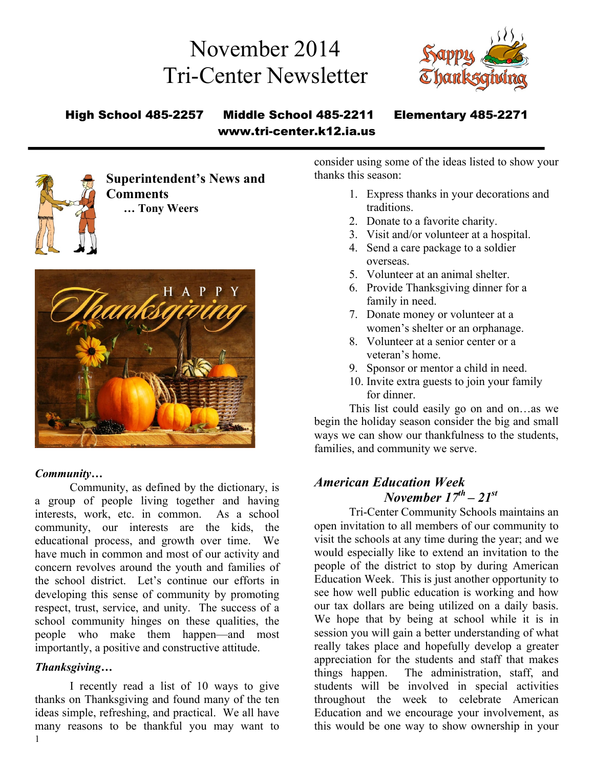# November 2014 Tri-Center Newsletter



## High School 485-2257 Middle School 485-2211 Elementary 485-2271 www.tri-center.k12.ia.us



**Superintendent's News and Comments … Tony Weers**



## *Community…*

Community, as defined by the dictionary, is a group of people living together and having interests, work, etc. in common. As a school community, our interests are the kids, the educational process, and growth over time. We have much in common and most of our activity and concern revolves around the youth and families of the school district. Let's continue our efforts in developing this sense of community by promoting respect, trust, service, and unity. The success of a school community hinges on these qualities, the people who make them happen—and most importantly, a positive and constructive attitude.

## *Thanksgiving…*

1 I recently read a list of 10 ways to give thanks on Thanksgiving and found many of the ten ideas simple, refreshing, and practical. We all have many reasons to be thankful you may want to consider using some of the ideas listed to show your thanks this season:

- 1. Express thanks in your decorations and traditions.
- 2. Donate to a favorite charity.
- 3. Visit and/or volunteer at a hospital.
- 4. Send a care package to a soldier overseas.
- 5. Volunteer at an animal shelter.
- 6. Provide Thanksgiving dinner for a family in need.
- 7. Donate money or volunteer at a women's shelter or an orphanage.
- 8. Volunteer at a senior center or a veteran's home.
- 9. Sponsor or mentor a child in need.
- 10. Invite extra guests to join your family for dinner.

This list could easily go on and on…as we begin the holiday season consider the big and small ways we can show our thankfulness to the students, families, and community we serve.

# *American Education Week November 17th – 21st*

Tri-Center Community Schools maintains an open invitation to all members of our community to visit the schools at any time during the year; and we would especially like to extend an invitation to the people of the district to stop by during American Education Week. This is just another opportunity to see how well public education is working and how our tax dollars are being utilized on a daily basis. We hope that by being at school while it is in session you will gain a better understanding of what really takes place and hopefully develop a greater appreciation for the students and staff that makes things happen. The administration, staff, and students will be involved in special activities throughout the week to celebrate American Education and we encourage your involvement, as this would be one way to show ownership in your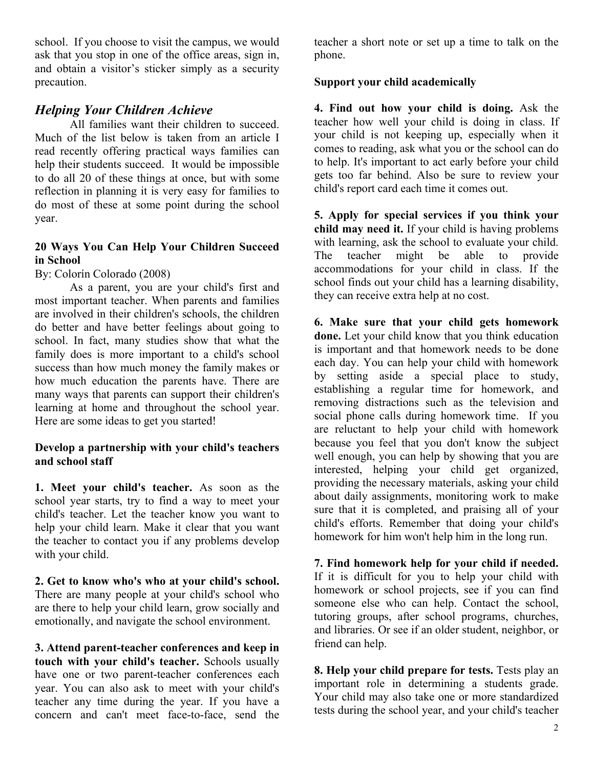school. If you choose to visit the campus, we would ask that you stop in one of the office areas, sign in, and obtain a visitor's sticker simply as a security precaution.

## *Helping Your Children Achieve*

All families want their children to succeed. Much of the list below is taken from an article I read recently offering practical ways families can help their students succeed. It would be impossible to do all 20 of these things at once, but with some reflection in planning it is very easy for families to do most of these at some point during the school year.

#### **20 Ways You Can Help Your Children Succeed in School**

By: Colorín Colorado (2008)

As a parent, you are your child's first and most important teacher. When parents and families are involved in their children's schools, the children do better and have better feelings about going to school. In fact, many studies show that what the family does is more important to a child's school success than how much money the family makes or how much education the parents have. There are many ways that parents can support their children's learning at home and throughout the school year. Here are some ideas to get you started!

#### **Develop a partnership with your child's teachers and school staff**

**1. Meet your child's teacher.** As soon as the school year starts, try to find a way to meet your child's teacher. Let the teacher know you want to help your child learn. Make it clear that you want the teacher to contact you if any problems develop with your child.

**2. Get to know who's who at your child's school.** There are many people at your child's school who are there to help your child learn, grow socially and emotionally, and navigate the school environment.

**3. Attend parent-teacher conferences and keep in touch with your child's teacher.** Schools usually have one or two parent-teacher conferences each year. You can also ask to meet with your child's teacher any time during the year. If you have a concern and can't meet face-to-face, send the

teacher a short note or set up a time to talk on the phone.

#### **Support your child academically**

**4. Find out how your child is doing.** Ask the teacher how well your child is doing in class. If your child is not keeping up, especially when it comes to reading, ask what you or the school can do to help. It's important to act early before your child gets too far behind. Also be sure to review your child's report card each time it comes out.

**5. Apply for special services if you think your child may need it.** If your child is having problems with learning, ask the school to evaluate your child. The teacher might be able to provide accommodations for your child in class. If the school finds out your child has a learning disability, they can receive extra help at no cost.

**6. Make sure that your child gets homework done.** Let your child know that you think education is important and that homework needs to be done each day. You can help your child with homework by setting aside a special place to study, establishing a regular time for homework, and removing distractions such as the television and social phone calls during homework time. If you are reluctant to help your child with homework because you feel that you don't know the subject well enough, you can help by showing that you are interested, helping your child get organized, providing the necessary materials, asking your child about daily assignments, monitoring work to make sure that it is completed, and praising all of your child's efforts. Remember that doing your child's homework for him won't help him in the long run.

**7. Find homework help for your child if needed.** If it is difficult for you to help your child with homework or school projects, see if you can find someone else who can help. Contact the school, tutoring groups, after school programs, churches, and libraries. Or see if an older student, neighbor, or friend can help.

**8. Help your child prepare for tests.** Tests play an important role in determining a students grade. Your child may also take one or more standardized tests during the school year, and your child's teacher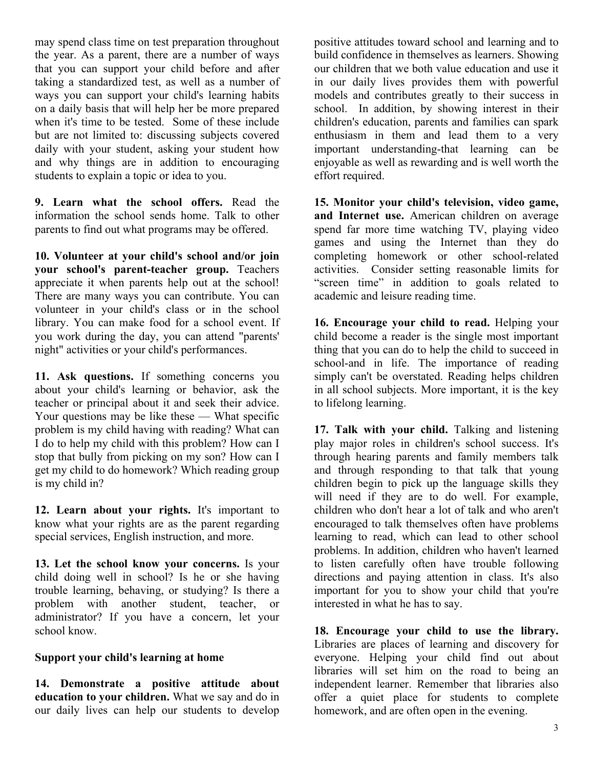may spend class time on test preparation throughout the year. As a parent, there are a number of ways that you can support your child before and after taking a standardized test, as well as a number of ways you can support your child's learning habits on a daily basis that will help her be more prepared when it's time to be tested. Some of these include but are not limited to: discussing subjects covered daily with your student, asking your student how and why things are in addition to encouraging students to explain a topic or idea to you.

**9. Learn what the school offers.** Read the information the school sends home. Talk to other parents to find out what programs may be offered.

**10. Volunteer at your child's school and/or join your school's parent-teacher group.** Teachers appreciate it when parents help out at the school! There are many ways you can contribute. You can volunteer in your child's class or in the school library. You can make food for a school event. If you work during the day, you can attend "parents' night" activities or your child's performances.

**11. Ask questions.** If something concerns you about your child's learning or behavior, ask the teacher or principal about it and seek their advice. Your questions may be like these — What specific problem is my child having with reading? What can I do to help my child with this problem? How can I stop that bully from picking on my son? How can I get my child to do homework? Which reading group is my child in?

**12. Learn about your rights.** It's important to know what your rights are as the parent regarding special services, English instruction, and more.

**13. Let the school know your concerns.** Is your child doing well in school? Is he or she having trouble learning, behaving, or studying? Is there a problem with another student, teacher, or administrator? If you have a concern, let your school know.

#### **Support your child's learning at home**

**14. Demonstrate a positive attitude about education to your children.** What we say and do in our daily lives can help our students to develop

positive attitudes toward school and learning and to build confidence in themselves as learners. Showing our children that we both value education and use it in our daily lives provides them with powerful models and contributes greatly to their success in school. In addition, by showing interest in their children's education, parents and families can spark enthusiasm in them and lead them to a very important understanding-that learning can be enjoyable as well as rewarding and is well worth the effort required.

**15. Monitor your child's television, video game, and Internet use.** American children on average spend far more time watching TV, playing video games and using the Internet than they do completing homework or other school-related activities. Consider setting reasonable limits for "screen time" in addition to goals related to academic and leisure reading time.

**16. Encourage your child to read.** Helping your child become a reader is the single most important thing that you can do to help the child to succeed in school-and in life. The importance of reading simply can't be overstated. Reading helps children in all school subjects. More important, it is the key to lifelong learning.

17. Talk with your child. Talking and listening play major roles in children's school success. It's through hearing parents and family members talk and through responding to that talk that young children begin to pick up the language skills they will need if they are to do well. For example, children who don't hear a lot of talk and who aren't encouraged to talk themselves often have problems learning to read, which can lead to other school problems. In addition, children who haven't learned to listen carefully often have trouble following directions and paying attention in class. It's also important for you to show your child that you're interested in what he has to say.

**18. Encourage your child to use the library.** Libraries are places of learning and discovery for everyone. Helping your child find out about libraries will set him on the road to being an independent learner. Remember that libraries also offer a quiet place for students to complete homework, and are often open in the evening.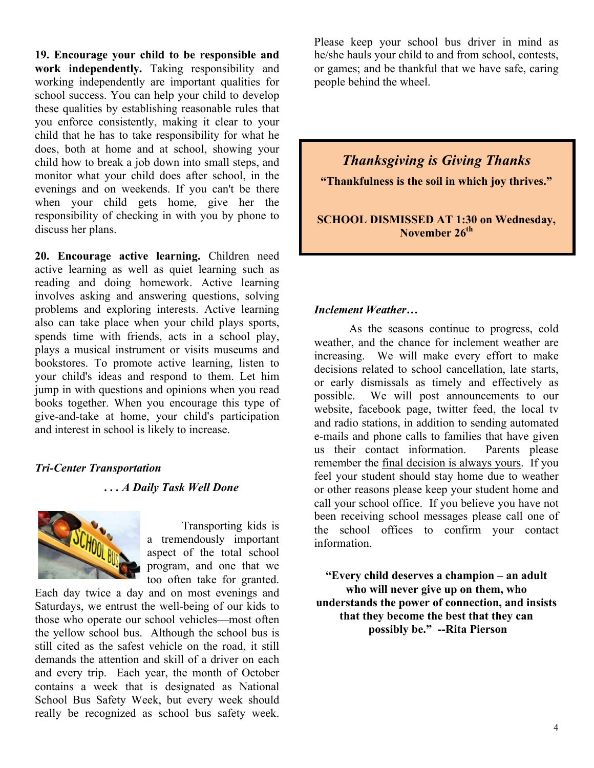**19. Encourage your child to be responsible and work independently.** Taking responsibility and working independently are important qualities for school success. You can help your child to develop these qualities by establishing reasonable rules that you enforce consistently, making it clear to your child that he has to take responsibility for what he does, both at home and at school, showing your child how to break a job down into small steps, and monitor what your child does after school, in the evenings and on weekends. If you can't be there when your child gets home, give her the responsibility of checking in with you by phone to discuss her plans.

**20. Encourage active learning.** Children need active learning as well as quiet learning such as reading and doing homework. Active learning involves asking and answering questions, solving problems and exploring interests. Active learning also can take place when your child plays sports, spends time with friends, acts in a school play, plays a musical instrument or visits museums and bookstores. To promote active learning, listen to your child's ideas and respond to them. Let him jump in with questions and opinions when you read books together. When you encourage this type of give-and-take at home, your child's participation and interest in school is likely to increase.

#### *Tri-Center Transportation*

#### *. . . A Daily Task Well Done*



Transporting kids is a tremendously important aspect of the total school program, and one that we too often take for granted.

Each day twice a day and on most evenings and Saturdays, we entrust the well-being of our kids to those who operate our school vehicles—most often the yellow school bus. Although the school bus is still cited as the safest vehicle on the road, it still demands the attention and skill of a driver on each and every trip. Each year, the month of October contains a week that is designated as National School Bus Safety Week, but every week should really be recognized as school bus safety week.

Please keep your school bus driver in mind as he/she hauls your child to and from school, contests, or games; and be thankful that we have safe, caring people behind the wheel.

*Thanksgiving is Giving Thanks* **"Thankfulness is the soil in which joy thrives."**

**SCHOOL DISMISSED AT 1:30 on Wednesday, November 26th**

#### *Inclement Weather…*

As the seasons continue to progress, cold weather, and the chance for inclement weather are increasing. We will make every effort to make decisions related to school cancellation, late starts, or early dismissals as timely and effectively as possible. We will post announcements to our website, facebook page, twitter feed, the local tv and radio stations, in addition to sending automated e-mails and phone calls to families that have given us their contact information. Parents please remember the final decision is always yours. If you feel your student should stay home due to weather or other reasons please keep your student home and call your school office. If you believe you have not been receiving school messages please call one of the school offices to confirm your contact information.

**"Every child deserves a champion – an adult who will never give up on them, who understands the power of connection, and insists that they become the best that they can possibly be." --Rita Pierson**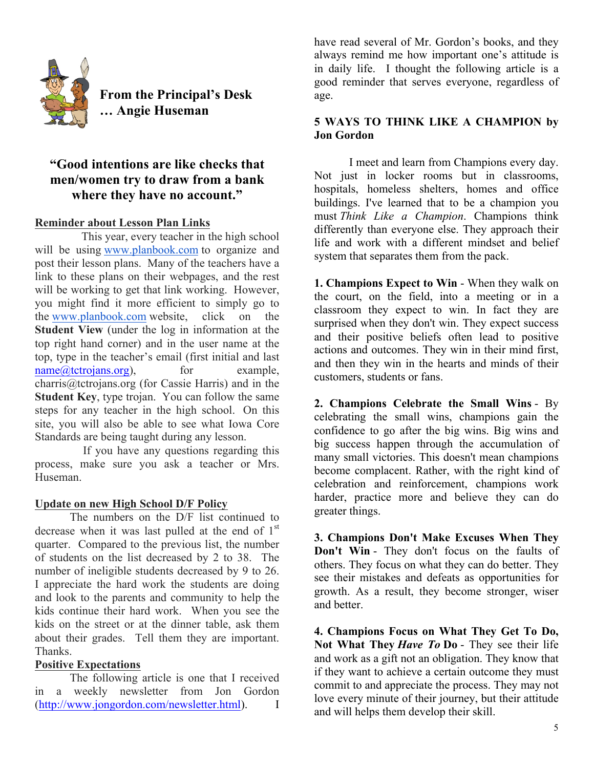

**From the Principal's Desk … Angie Huseman**

# **"Good intentions are like checks that men/women try to draw from a bank where they have no account."**

#### **Reminder about Lesson Plan Links**

 This year, every teacher in the high school will be using www.planbook.com to organize and post their lesson plans. Many of the teachers have a link to these plans on their webpages, and the rest will be working to get that link working. However, you might find it more efficient to simply go to the www.planbook.com website, click on the **Student View** (under the log in information at the top right hand corner) and in the user name at the top, type in the teacher's email (first initial and last  $name@tctrojans.org)$ , for example, charris@tctrojans.org (for Cassie Harris) and in the **Student Key**, type trojan. You can follow the same steps for any teacher in the high school. On this site, you will also be able to see what Iowa Core Standards are being taught during any lesson.

 If you have any questions regarding this process, make sure you ask a teacher or Mrs. Huseman.

#### **Update on new High School D/F Policy**

The numbers on the D/F list continued to decrease when it was last pulled at the end of  $1<sup>st</sup>$ quarter. Compared to the previous list, the number of students on the list decreased by 2 to 38. The number of ineligible students decreased by 9 to 26. I appreciate the hard work the students are doing and look to the parents and community to help the kids continue their hard work. When you see the kids on the street or at the dinner table, ask them about their grades. Tell them they are important. Thanks.

#### **Positive Expectations**

The following article is one that I received in a weekly newsletter from Jon Gordon (http://www.jongordon.com/newsletter.html). I have read several of Mr. Gordon's books, and they always remind me how important one's attitude is in daily life. I thought the following article is a good reminder that serves everyone, regardless of age.

#### **5 WAYS TO THINK LIKE A CHAMPION by Jon Gordon**

I meet and learn from Champions every day. Not just in locker rooms but in classrooms, hospitals, homeless shelters, homes and office buildings. I've learned that to be a champion you must *Think Like a Champion*. Champions think differently than everyone else. They approach their life and work with a different mindset and belief system that separates them from the pack.

**1. Champions Expect to Win** - When they walk on the court, on the field, into a meeting or in a classroom they expect to win. In fact they are surprised when they don't win. They expect success and their positive beliefs often lead to positive actions and outcomes. They win in their mind first, and then they win in the hearts and minds of their customers, students or fans.

**2. Champions Celebrate the Small Wins** - By celebrating the small wins, champions gain the confidence to go after the big wins. Big wins and big success happen through the accumulation of many small victories. This doesn't mean champions become complacent. Rather, with the right kind of celebration and reinforcement, champions work harder, practice more and believe they can do greater things.

**3. Champions Don't Make Excuses When They Don't Win** - They don't focus on the faults of others. They focus on what they can do better. They see their mistakes and defeats as opportunities for growth. As a result, they become stronger, wiser and better.

**4. Champions Focus on What They Get To Do, Not What They** *Have To* **Do** - They see their life and work as a gift not an obligation. They know that if they want to achieve a certain outcome they must commit to and appreciate the process. They may not love every minute of their journey, but their attitude and will helps them develop their skill.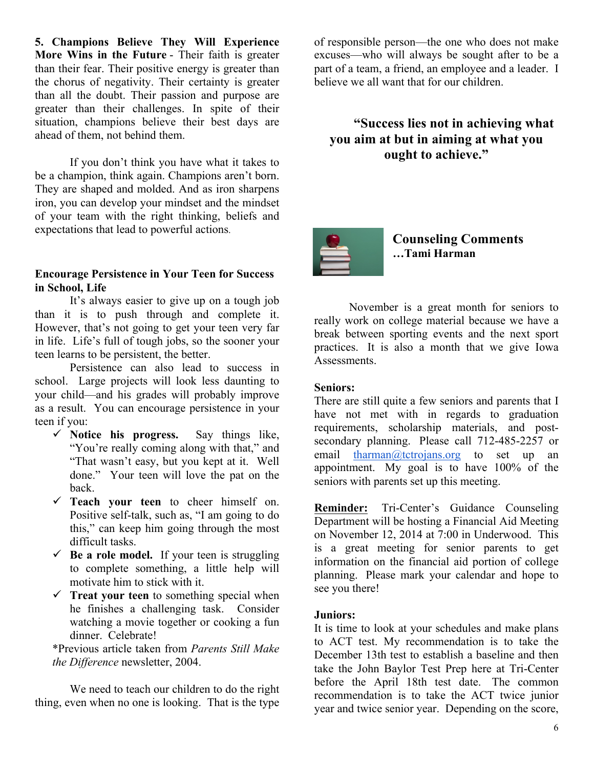**5. Champions Believe They Will Experience More Wins in the Future** - Their faith is greater than their fear. Their positive energy is greater than the chorus of negativity. Their certainty is greater than all the doubt. Their passion and purpose are greater than their challenges. In spite of their situation, champions believe their best days are ahead of them, not behind them.

If you don't think you have what it takes to be a champion, think again. Champions aren't born. They are shaped and molded. And as iron sharpens iron, you can develop your mindset and the mindset of your team with the right thinking, beliefs and expectations that lead to powerful actions.

#### **Encourage Persistence in Your Teen for Success in School, Life**

It's always easier to give up on a tough job than it is to push through and complete it. However, that's not going to get your teen very far in life. Life's full of tough jobs, so the sooner your teen learns to be persistent, the better.

Persistence can also lead to success in school. Large projects will look less daunting to your child—and his grades will probably improve as a result. You can encourage persistence in your teen if you:

- $\checkmark$  Notice his progress. Say things like, "You're really coming along with that," and "That wasn't easy, but you kept at it. Well done." Your teen will love the pat on the back.
- ü **Teach your teen** to cheer himself on. Positive self-talk, such as, "I am going to do this," can keep him going through the most difficult tasks.
- $\checkmark$  Be a role model. If your teen is struggling to complete something, a little help will motivate him to stick with it.
- $\checkmark$  Treat your teen to something special when he finishes a challenging task. Consider watching a movie together or cooking a fun dinner. Celebrate!

\*Previous article taken from *Parents Still Make the Difference* newsletter, 2004.

We need to teach our children to do the right thing, even when no one is looking. That is the type of responsible person—the one who does not make excuses—who will always be sought after to be a part of a team, a friend, an employee and a leader. I believe we all want that for our children.

# **"Success lies not in achieving what you aim at but in aiming at what you ought to achieve."**



**Counseling Comments …Tami Harman**

November is a great month for seniors to really work on college material because we have a break between sporting events and the next sport practices. It is also a month that we give Iowa **Assessments** 

#### **Seniors:**

There are still quite a few seniors and parents that I have not met with in regards to graduation requirements, scholarship materials, and postsecondary planning. Please call 712-485-2257 or email tharman@tctrojans.org to set up an appointment. My goal is to have 100% of the seniors with parents set up this meeting.

**Reminder:** Tri-Center's Guidance Counseling Department will be hosting a Financial Aid Meeting on November 12, 2014 at 7:00 in Underwood. This is a great meeting for senior parents to get information on the financial aid portion of college planning. Please mark your calendar and hope to see you there!

#### **Juniors:**

It is time to look at your schedules and make plans to ACT test. My recommendation is to take the December 13th test to establish a baseline and then take the John Baylor Test Prep here at Tri-Center before the April 18th test date. The common recommendation is to take the ACT twice junior year and twice senior year. Depending on the score,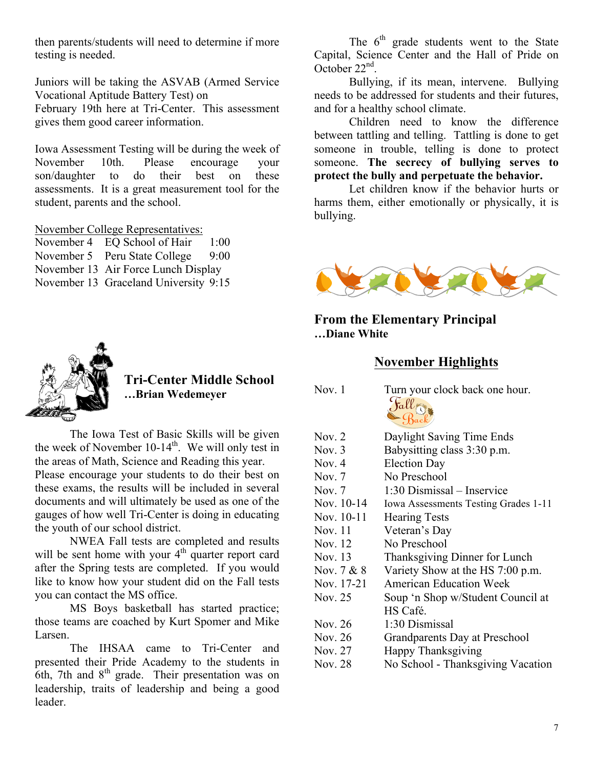then parents/students will need to determine if more testing is needed.

Juniors will be taking the ASVAB (Armed Service Vocational Aptitude Battery Test) on February 19th here at Tri-Center. This assessment gives them good career information.

Iowa Assessment Testing will be during the week of November 10th. Please encourage your son/daughter to do their best on these assessments. It is a great measurement tool for the student, parents and the school.

November College Representatives:

November 4 EQ School of Hair 1:00 November 5 Peru State College 9:00 November 13 Air Force Lunch Display November 13 Graceland University 9:15



**Tri-Center Middle School …Brian Wedemeyer**

The Iowa Test of Basic Skills will be given the week of November  $10-14<sup>th</sup>$ . We will only test in the areas of Math, Science and Reading this year. Please encourage your students to do their best on these exams, the results will be included in several documents and will ultimately be used as one of the gauges of how well Tri-Center is doing in educating the youth of our school district.

NWEA Fall tests are completed and results will be sent home with your  $4<sup>th</sup>$  quarter report card after the Spring tests are completed. If you would like to know how your student did on the Fall tests you can contact the MS office.

MS Boys basketball has started practice; those teams are coached by Kurt Spomer and Mike Larsen.

The IHSAA came to Tri-Center and presented their Pride Academy to the students in 6th, 7th and  $8<sup>th</sup>$  grade. Their presentation was on leadership, traits of leadership and being a good leader.

The  $6<sup>th</sup>$  grade students went to the State Capital, Science Center and the Hall of Pride on October 22<sup>nd</sup>.

Bullying, if its mean, intervene. Bullying needs to be addressed for students and their futures, and for a healthy school climate.

Children need to know the difference between tattling and telling. Tattling is done to get someone in trouble, telling is done to protect someone. **The secrecy of bullying serves to protect the bully and perpetuate the behavior.** 

Let children know if the behavior hurts or harms them, either emotionally or physically, it is bullying.



## **From the Elementary Principal …Diane White**

# **November Highlights**

| Nov. $1$       | Turn your clock back one hour.       |
|----------------|--------------------------------------|
|                | Fall                                 |
|                |                                      |
| Nov. $2$       | Daylight Saving Time Ends            |
| Nov. $3$       | Babysitting class 3:30 p.m.          |
| Nov. $4$       | <b>Election Day</b>                  |
| Nov. $7$       | No Preschool                         |
| Nov. $7$       | 1:30 Dismissal – Inservice           |
| Nov. 10-14     | Iowa Assessments Testing Grades 1-11 |
| Nov. 10-11     | <b>Hearing Tests</b>                 |
| Nov. 11        | Veteran's Day                        |
| Nov. 12        | No Preschool                         |
| Nov. 13        | Thanksgiving Dinner for Lunch        |
| Nov. $7 & 8$   | Variety Show at the HS 7:00 p.m.     |
| Nov. 17-21     | <b>American Education Week</b>       |
| Nov. 25        | Soup 'n Shop w/Student Council at    |
|                | HS Café.                             |
| Nov. 26        | 1:30 Dismissal                       |
| Nov. 26        | Grandparents Day at Preschool        |
| Nov. 27        | <b>Happy Thanksgiving</b>            |
| <b>Nov. 28</b> | No School - Thanksgiving Vacation    |
|                |                                      |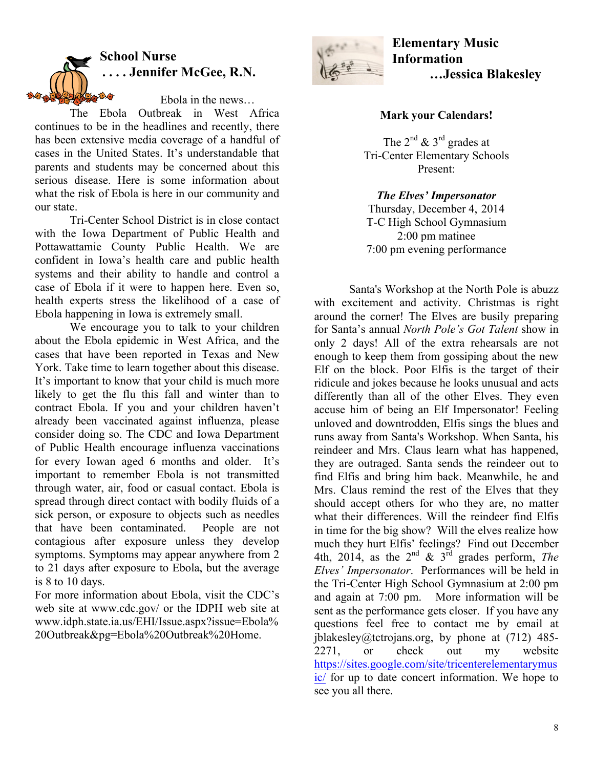

has been extensive media coverage of a handful of cases in the United States. It's understandable that parents and students may be concerned about this serious disease. Here is some information about what the risk of Ebola is here in our community and our state.

Tri-Center School District is in close contact with the Iowa Department of Public Health and Pottawattamie County Public Health. We are confident in Iowa's health care and public health systems and their ability to handle and control a case of Ebola if it were to happen here. Even so, health experts stress the likelihood of a case of Ebola happening in Iowa is extremely small.

We encourage you to talk to your children about the Ebola epidemic in West Africa, and the cases that have been reported in Texas and New York. Take time to learn together about this disease. It's important to know that your child is much more likely to get the flu this fall and winter than to contract Ebola. If you and your children haven't already been vaccinated against influenza, please consider doing so. The CDC and Iowa Department of Public Health encourage influenza vaccinations for every Iowan aged 6 months and older. It's important to remember Ebola is not transmitted through water, air, food or casual contact. Ebola is spread through direct contact with bodily fluids of a sick person, or exposure to objects such as needles that have been contaminated. People are not contagious after exposure unless they develop symptoms. Symptoms may appear anywhere from 2 to 21 days after exposure to Ebola, but the average is 8 to 10 days.

For more information about Ebola, visit the CDC's web site at www.cdc.gov/ or the IDPH web site at www.idph.state.ia.us/EHI/Issue.aspx?issue=Ebola% 20Outbreak&pg=Ebola%20Outbreak%20Home.



**Elementary Music Information …Jessica Blakesley**

#### **Mark your Calendars!**

The  $2^{nd}$  &  $3^{rd}$  grades at Tri-Center Elementary Schools Present:

*The Elves' Impersonator* Thursday, December 4, 2014 T-C High School Gymnasium 2:00 pm matinee 7:00 pm evening performance

Santa's Workshop at the North Pole is abuzz with excitement and activity. Christmas is right around the corner! The Elves are busily preparing for Santa's annual *North Pole's Got Talent* show in only 2 days! All of the extra rehearsals are not enough to keep them from gossiping about the new Elf on the block. Poor Elfis is the target of their ridicule and jokes because he looks unusual and acts differently than all of the other Elves. They even accuse him of being an Elf Impersonator! Feeling unloved and downtrodden, Elfis sings the blues and runs away from Santa's Workshop. When Santa, his reindeer and Mrs. Claus learn what has happened, they are outraged. Santa sends the reindeer out to find Elfis and bring him back. Meanwhile, he and Mrs. Claus remind the rest of the Elves that they should accept others for who they are, no matter what their differences. Will the reindeer find Elfis in time for the big show? Will the elves realize how much they hurt Elfis' feelings? Find out December 4th, 2014, as the  $2^{nd}$  &  $3^{rd}$  grades perform, *The Elves' Impersonator*. Performances will be held in the Tri-Center High School Gymnasium at 2:00 pm and again at 7:00 pm. More information will be sent as the performance gets closer. If you have any questions feel free to contact me by email at jblakesley@tctrojans.org, by phone at  $(712)$  485-2271, or check out my website https://sites.google.com/site/tricenterelementarymus ic/ for up to date concert information. We hope to see you all there.